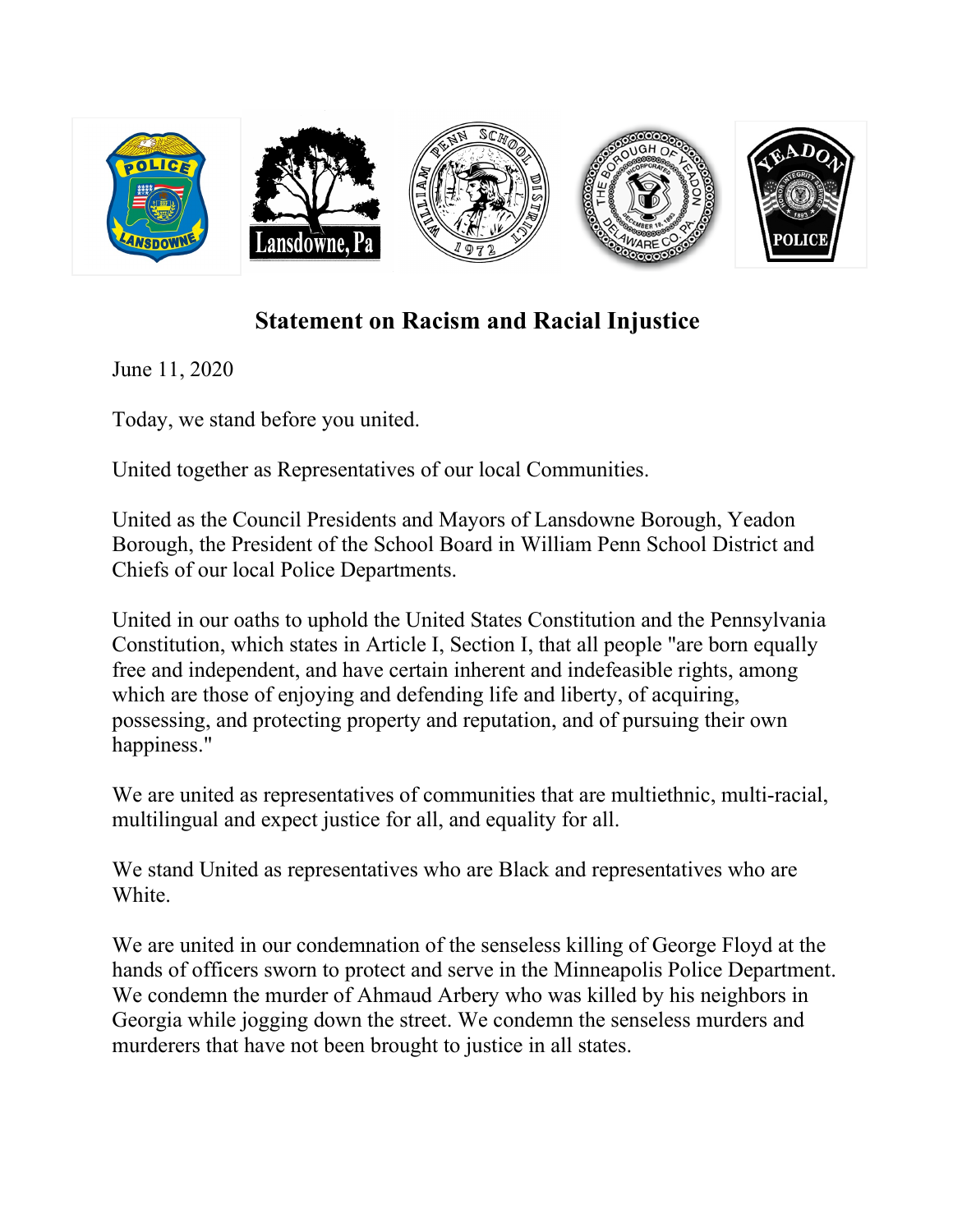

## **Statement on Racism and Racial Injustice**

June 11, 2020

Today, we stand before you united.

United together as Representatives of our local Communities.

United as the Council Presidents and Mayors of Lansdowne Borough, Yeadon Borough, the President of the School Board in William Penn School District and Chiefs of our local Police Departments.

United in our oaths to uphold the United States Constitution and the Pennsylvania Constitution, which states in Article I, Section I, that all people "are born equally free and independent, and have certain inherent and indefeasible rights, among which are those of enjoying and defending life and liberty, of acquiring, possessing, and protecting property and reputation, and of pursuing their own happiness."

We are united as representatives of communities that are multiethnic, multi-racial, multilingual and expect justice for all, and equality for all.

We stand United as representatives who are Black and representatives who are White.

We are united in our condemnation of the senseless killing of George Floyd at the hands of officers sworn to protect and serve in the Minneapolis Police Department. We condemn the murder of Ahmaud Arbery who was killed by his neighbors in Georgia while jogging down the street. We condemn the senseless murders and murderers that have not been brought to justice in all states.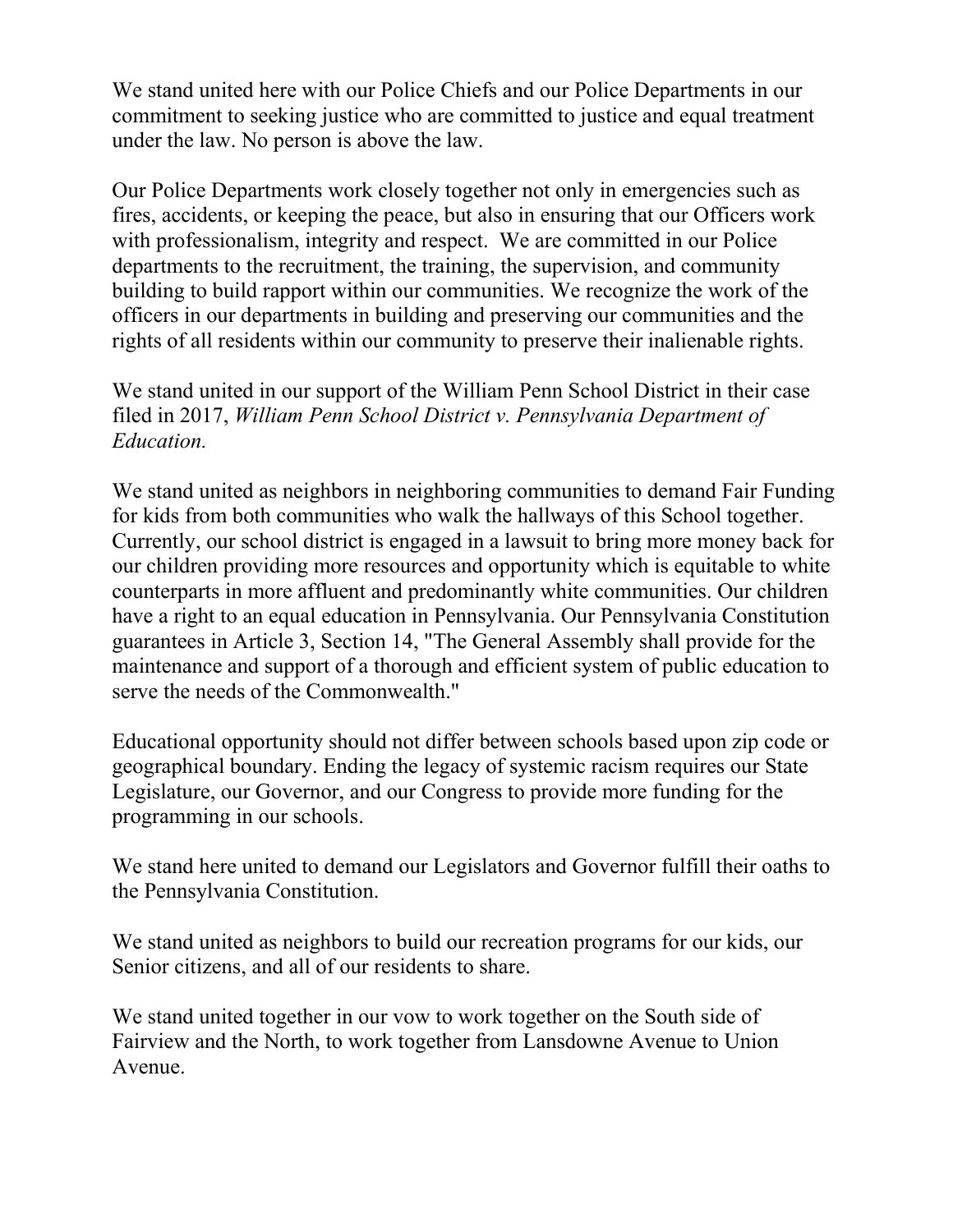We stand united here with our Police Chiefs and our Police Departments in our commitment to seeking justice who are committed to justice and equal treatment under the law. No person is above the law.

Our Police Departments work closely together not only in emergencies such as fires, accidents, or keeping the peace, but also in ensuring that our Officers work with professionalism, integrity and respect. We are committed in our Police departments to the recruitment, the training, the supervision, and community building to build rapport within our communities. We recognize the work of the officers in our departments in building and preserving our communities and the rights of all residents within our community to preserve their inalienable rights.

We stand united in our support of the William Penn School District in their case filed in 2017, *William Penn School District v. Pennsylvania Department of Education.* 

We stand united as neighbors in neighboring communities to demand Fair Funding for kids from both communities who walk the hallways of this School together. Currently, our school district is engaged in a lawsuit to bring more money back for our children providing more resources and opportunity which is equitable to white counterparts in more affluent and predominantly white communities. Our children have a right to an equal education in Pennsylvania. Our Pennsylvania Constitution guarantees in Article 3, Section 14, "The General Assembly shall provide for the maintenance and support of a thorough and efficient system of public education to serve the needs of the Commonwealth."

Educational opportunity should not differ between schools based upon zip code or geographical boundary. Ending the legacy of systemic racism requires our State Legislature, our Governor, and our Congress to provide more funding for the programming in our schools.

We stand here united to demand our Legislators and Governor fulfill their oaths to the Pennsylvania Constitution.

We stand united as neighbors to build our recreation programs for our kids, our Senior citizens, and all of our residents to share.

We stand united together in our vow to work together on the South side of Fairview and the North, to work together from Lansdowne Avenue to Union Avenue.